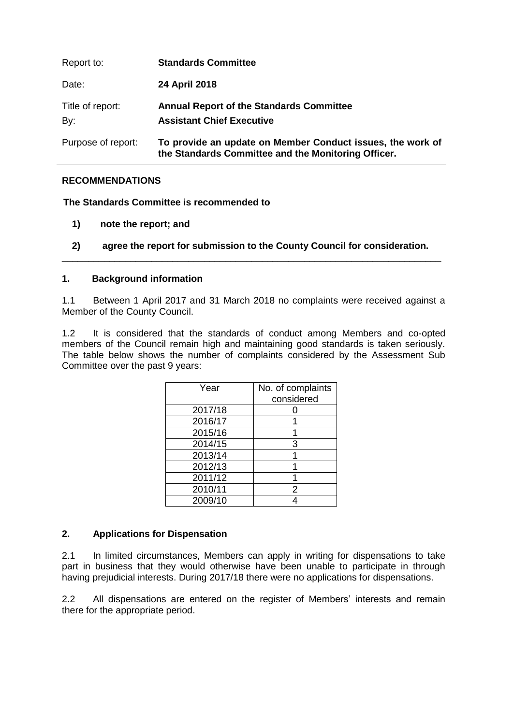| Report to:              | <b>Standards Committee</b>                                                                                        |
|-------------------------|-------------------------------------------------------------------------------------------------------------------|
| Date:                   | 24 April 2018                                                                                                     |
| Title of report:<br>By: | <b>Annual Report of the Standards Committee</b><br><b>Assistant Chief Executive</b>                               |
| Purpose of report:      | To provide an update on Member Conduct issues, the work of<br>the Standards Committee and the Monitoring Officer. |

## **RECOMMENDATIONS**

**The Standards Committee is recommended to** 

- **1) note the report; and**
- **2) agree the report for submission to the County Council for consideration.** \_\_\_\_\_\_\_\_\_\_\_\_\_\_\_\_\_\_\_\_\_\_\_\_\_\_\_\_\_\_\_\_\_\_\_\_\_\_\_\_\_\_\_\_\_\_\_\_\_\_\_\_\_\_\_\_\_\_\_\_\_\_\_\_\_\_\_\_\_\_\_\_

#### **1. Background information**

1.1 Between 1 April 2017 and 31 March 2018 no complaints were received against a Member of the County Council.

1.2 It is considered that the standards of conduct among Members and co-opted members of the Council remain high and maintaining good standards is taken seriously. The table below shows the number of complaints considered by the Assessment Sub Committee over the past 9 years:

| Year    | No. of complaints<br>considered |
|---------|---------------------------------|
| 2017/18 |                                 |
| 2016/17 |                                 |
| 2015/16 |                                 |
| 2014/15 | З                               |
| 2013/14 |                                 |
| 2012/13 |                                 |
| 2011/12 |                                 |
| 2010/11 | 2                               |
| 2009/10 |                                 |

## **2. Applications for Dispensation**

2.1 In limited circumstances, Members can apply in writing for dispensations to take part in business that they would otherwise have been unable to participate in through having prejudicial interests. During 2017/18 there were no applications for dispensations.

2.2 All dispensations are entered on the register of Members' interests and remain there for the appropriate period.